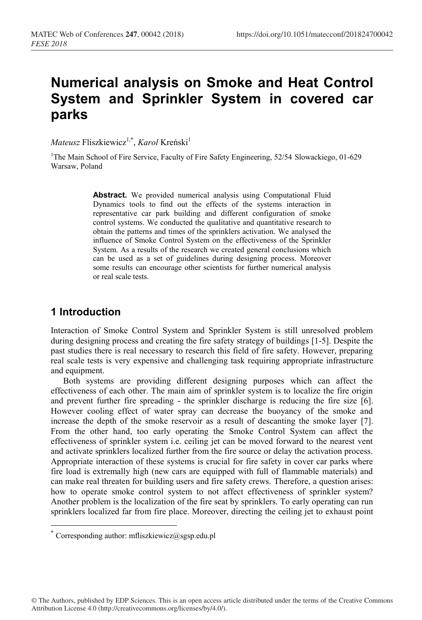# **Numerical analysis on Smoke and Heat Control System and Sprinkler System in covered car parks**

 $\textit{Mateurs}$  Fliszkiewicz<sup>1,\*</sup>, *Karol* Kreński<sup>1</sup>

<sup>1</sup>The Main School of Fire Service, Faculty of Fire Safety Engineering, 52/54 Slowackiego, 01-629 Warsaw, Poland

> **Abstract.** We provided numerical analysis using Computational Fluid Dynamics tools to find out the effects of the systems interaction in representative car park building and different configuration of smoke control systems. We conducted the qualitative and quantitative research to obtain the patterns and times of the sprinklers activation. We analysed the influence of Smoke Control System on the effectiveness of the Sprinkler System. As a results of the research we created general conclusions which can be used as a set of guidelines during designing process. Moreover some results can encourage other scientists for further numerical analysis or real scale tests.

## **1 Introduction**

Interaction of Smoke Control System and Sprinkler System is still unresolved problem during designing process and creating the fire safety strategy of buildings [1-5]. Despite the past studies there is real necessary to research this field of fire safety. However, preparing real scale tests is very expensive and challenging task requiring appropriate infrastructure and equipment.

Both systems are providing different designing purposes which can affect the effectiveness of each other. The main aim of sprinkler system is to localize the fire origin and prevent further fire spreading - the sprinkler discharge is reducing the fire size [6]. However cooling effect of water spray can decrease the buoyancy of the smoke and increase the depth of the smoke reservoir as a result of descanting the smoke layer [7]. From the other hand, too early operating the Smoke Control System can affect the effectiveness of sprinkler system i.e. ceiling jet can be moved forward to the nearest vent and activate sprinklers localized further from the fire source or delay the activation process. Appropriate interaction of these systems is crucial for fire safety in cover car parks where fire load is extremally high (new cars are equipped with full of flammable materials) and can make real threaten for building users and fire safety crews. Therefore, a question arises: how to operate smoke control system to not affect effectiveness of sprinkler system? Another problem is the localization of the fire seat by sprinklers. To early operating can run sprinklers localized far from fire place. Moreover, directing the ceiling jet to exhaust point

<sup>\*</sup> Corresponding author: mfliszkiewicz@sgsp.edu.pl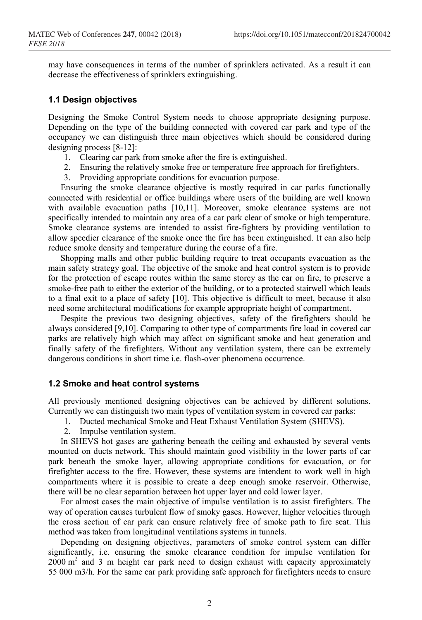may have consequences in terms of the number of sprinklers activated. As a result it can decrease the effectiveness of sprinklers extinguishing.

#### **1.1 Design objectives**

Designing the Smoke Control System needs to choose appropriate designing purpose. Depending on the type of the building connected with covered car park and type of the occupancy we can distinguish three main objectives which should be considered during designing process [8-12]:

- 1. Clearing car park from smoke after the fire is extinguished.
- 2. Ensuring the relatively smoke free or temperature free approach for firefighters.
- 3. Providing appropriate conditions for evacuation purpose.

Ensuring the smoke clearance objective is mostly required in car parks functionally connected with residential or office buildings where users of the building are well known with available evacuation paths [10,11]. Moreover, smoke clearance systems are not specifically intended to maintain any area of a car park clear of smoke or high temperature. Smoke clearance systems are intended to assist fire-fighters by providing ventilation to allow speedier clearance of the smoke once the fire has been extinguished. It can also help reduce smoke density and temperature during the course of a fire.

Shopping malls and other public building require to treat occupants evacuation as the main safety strategy goal. The objective of the smoke and heat control system is to provide for the protection of escape routes within the same storey as the car on fire, to preserve a smoke-free path to either the exterior of the building, or to a protected stairwell which leads to a final exit to a place of safety [10]. This objective is difficult to meet, because it also need some architectural modifications for example appropriate height of compartment.

Despite the previous two designing objectives, safety of the firefighters should be always considered [9,10]. Comparing to other type of compartments fire load in covered car parks are relatively high which may affect on significant smoke and heat generation and finally safety of the firefighters. Without any ventilation system, there can be extremely dangerous conditions in short time i.e. flash-over phenomena occurrence.

#### **1.2 Smoke and heat control systems**

All previously mentioned designing objectives can be achieved by different solutions. Currently we can distinguish two main types of ventilation system in covered car parks:

- 1. Ducted mechanical Smoke and Heat Exhaust Ventilation System (SHEVS).
- 2. Impulse ventilation system.

In SHEVS hot gases are gathering beneath the ceiling and exhausted by several vents mounted on ducts network. This should maintain good visibility in the lower parts of car park beneath the smoke layer, allowing appropriate conditions for evacuation, or for firefighter access to the fire. However, these systems are intendent to work well in high compartments where it is possible to create a deep enough smoke reservoir. Otherwise, there will be no clear separation between hot upper layer and cold lower layer.

For almost cases the main objective of impulse ventilation is to assist firefighters. The way of operation causes turbulent flow of smoky gases. However, higher velocities through the cross section of car park can ensure relatively free of smoke path to fire seat. This method was taken from longitudinal ventilations systems in tunnels.

Depending on designing objectives, parameters of smoke control system can differ significantly, i.e. ensuring the smoke clearance condition for impulse ventilation for 2000 m2 and 3 m height car park need to design exhaust with capacity approximately 55 000 m3/h. For the same car park providing safe approach for firefighters needs to ensure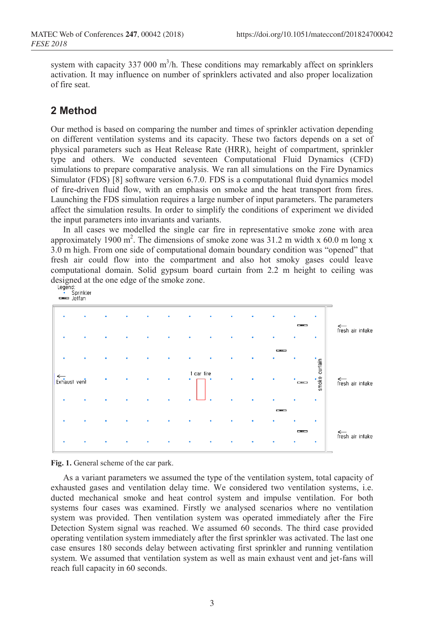system with capacity 337 000  $m^3/h$ . These conditions may remarkably affect on sprinklers activation. It may influence on number of sprinklers activated and also proper localization of fire seat.

## **2 Method**

Our method is based on comparing the number and times of sprinkler activation depending on different ventilation systems and its capacity. These two factors depends on a set of physical parameters such as Heat Release Rate (HRR), height of compartment, sprinkler type and others. We conducted seventeen Computational Fluid Dynamics (CFD) simulations to prepare comparative analysis. We ran all simulations on the Fire Dynamics Simulator (FDS) [8] software version 6.7.0. FDS is a computational fluid dynamics model of fire-driven fluid flow, with an emphasis on smoke and the heat transport from fires. Launching the FDS simulation requires a large number of input parameters. The parameters affect the simulation results. In order to simplify the conditions of experiment we divided the input parameters into invariants and variants.

In all cases we modelled the single car fire in representative smoke zone with area approximately 1900 m<sup>2</sup>. The dimensions of smoke zone was 31.2 m width x 60.0 m long x 3.0 m high. From one side of computational domain boundary condition was "opened" that fresh air could flow into the compartment and also hot smoky gases could leave computational domain. Solid gypsum board curtain from 2.2 m height to ceiling was designed at the one edge of the smoke zone.<br>  $\frac{1 \text{egend}}{5 \text{orinkler}}$ 

Jetfan fresh air intake curtain 1 car fire  $smoke$ Exhaust vent fresh air intake fresh air intake

#### **Fig. 1.** General scheme of the car park.

As a variant parameters we assumed the type of the ventilation system, total capacity of exhausted gases and ventilation delay time. We considered two ventilation systems, i.e. ducted mechanical smoke and heat control system and impulse ventilation. For both systems four cases was examined. Firstly we analysed scenarios where no ventilation system was provided. Then ventilation system was operated immediately after the Fire Detection System signal was reached. We assumed 60 seconds. The third case provided operating ventilation system immediately after the first sprinkler was activated. The last one case ensures 180 seconds delay between activating first sprinkler and running ventilation system. We assumed that ventilation system as well as main exhaust vent and jet-fans will reach full capacity in 60 seconds.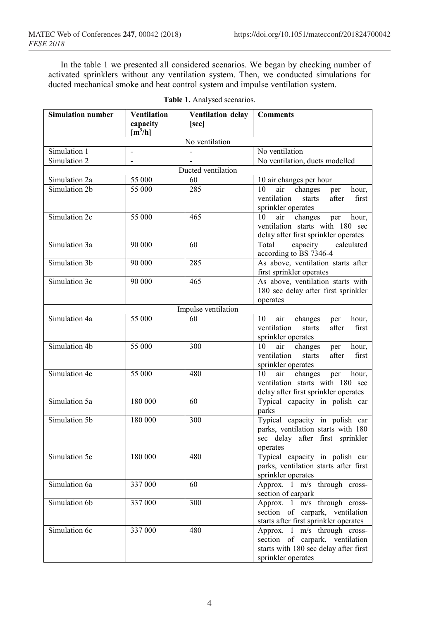In the table 1 we presented all considered scenarios. We began by checking number of activated sprinklers without any ventilation system. Then, we conducted simulations for ducted mechanical smoke and heat control system and impulse ventilation system.

| <b>Simulation number</b> | <b>Ventilation</b>    | Ventilation delay        | <b>Comments</b>                                                       |  |  |  |
|--------------------------|-----------------------|--------------------------|-----------------------------------------------------------------------|--|--|--|
|                          | capacity<br>$[m^3/h]$ | [sec]                    |                                                                       |  |  |  |
| No ventilation           |                       |                          |                                                                       |  |  |  |
| Simulation 1             |                       |                          | No ventilation                                                        |  |  |  |
| Simulation 2             | $\overline{a}$        | $\overline{\phantom{a}}$ | No ventilation, ducts modelled                                        |  |  |  |
|                          |                       | Ducted ventilation       |                                                                       |  |  |  |
| Simulation 2a            | 55 000                | 60                       | 10 air changes per hour                                               |  |  |  |
| Simulation 2b            | 55 000                | 285                      | changes<br>10<br>air<br>per<br>hour,                                  |  |  |  |
|                          |                       |                          | ventilation<br>starts<br>first<br>after<br>sprinkler operates         |  |  |  |
| Simulation 2c            | 55 000                | 465                      | air<br>10<br>changes<br>hour,<br>per                                  |  |  |  |
|                          |                       |                          | ventilation starts with 180 sec                                       |  |  |  |
|                          |                       |                          | delay after first sprinkler operates                                  |  |  |  |
| Simulation 3a            | 90 000                | 60                       | Total<br>capacity<br>calculated                                       |  |  |  |
|                          |                       |                          | according to BS 7346-4                                                |  |  |  |
| Simulation 3b            | 90 000                | 285                      | As above, ventilation starts after                                    |  |  |  |
|                          |                       |                          | first sprinkler operates                                              |  |  |  |
| Simulation 3c            | 90 000                | 465                      | As above, ventilation starts with                                     |  |  |  |
|                          |                       |                          | 180 sec delay after first sprinkler                                   |  |  |  |
|                          |                       |                          | operates                                                              |  |  |  |
|                          |                       | Impulse ventilation      |                                                                       |  |  |  |
| Simulation 4a            | 55 000                | 60                       | 10<br>air<br>changes<br>hour,<br>per<br>ventilation<br>after<br>first |  |  |  |
|                          |                       |                          | starts<br>sprinkler operates                                          |  |  |  |
| Simulation 4b            | 55 000                | 300                      | 10<br>air<br>changes<br>hour,<br>per                                  |  |  |  |
|                          |                       |                          | ventilation<br>first<br>starts<br>after                               |  |  |  |
|                          |                       |                          | sprinkler operates                                                    |  |  |  |
| Simulation 4c            | 55 000                | 480                      | 10<br>air<br>changes<br>per<br>hour,                                  |  |  |  |
|                          |                       |                          | ventilation starts with 180 sec                                       |  |  |  |
|                          |                       |                          | delay after first sprinkler operates                                  |  |  |  |
| Simulation 5a            | 180 000               | 60                       | Typical capacity in polish car                                        |  |  |  |
|                          |                       |                          | parks                                                                 |  |  |  |
| Simulation 5b            | 180 000               | 300                      | Typical capacity in polish car                                        |  |  |  |
|                          |                       |                          | parks, ventilation starts with 180                                    |  |  |  |
|                          |                       |                          | sec delay after first sprinkler                                       |  |  |  |
| Simulation 5c            | 180 000               | 480                      | operates<br>Typical capacity in polish car                            |  |  |  |
|                          |                       |                          | parks, ventilation starts after first                                 |  |  |  |
|                          |                       |                          | sprinkler operates                                                    |  |  |  |
| Simulation 6a            | 337 000               | 60                       | Approx. 1 m/s through cross-                                          |  |  |  |
|                          |                       |                          | section of carpark                                                    |  |  |  |
| Simulation 6b            | 337 000               | 300                      | Approx. 1 m/s through cross-                                          |  |  |  |
|                          |                       |                          | section of carpark, ventilation                                       |  |  |  |
|                          |                       |                          | starts after first sprinkler operates                                 |  |  |  |
| Simulation 6c            | 337 000               | 480                      | Approx. 1 m/s through cross-                                          |  |  |  |
|                          |                       |                          | section of carpark, ventilation                                       |  |  |  |
|                          |                       |                          | starts with 180 sec delay after first                                 |  |  |  |
|                          |                       |                          | sprinkler operates                                                    |  |  |  |

|  |  |  | Table 1. Analysed scenarios. |
|--|--|--|------------------------------|
|--|--|--|------------------------------|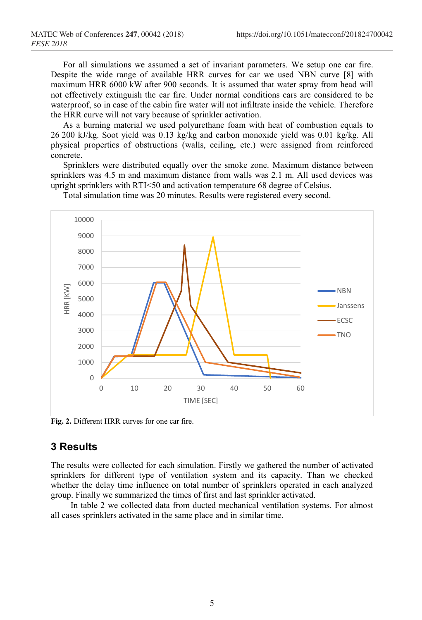For all simulations we assumed a set of invariant parameters. We setup one car fire. Despite the wide range of available HRR curves for car we used NBN curve [8] with maximum HRR 6000 kW after 900 seconds. It is assumed that water spray from head will not effectively extinguish the car fire. Under normal conditions cars are considered to be waterproof, so in case of the cabin fire water will not infiltrate inside the vehicle. Therefore the HRR curve will not vary because of sprinkler activation.

As a burning material we used polyurethane foam with heat of combustion equals to 26 200 kJ/kg. Soot yield was 0.13 kg/kg and carbon monoxide yield was 0.01 kg/kg. All physical properties of obstructions (walls, ceiling, etc.) were assigned from reinforced concrete.

Sprinklers were distributed equally over the smoke zone. Maximum distance between sprinklers was 4.5 m and maximum distance from walls was 2.1 m. All used devices was upright sprinklers with RTI<50 and activation temperature 68 degree of Celsius.



Total simulation time was 20 minutes. Results were registered every second.

**Fig. 2.** Different HRR curves for one car fire.

#### **3 Results**

The results were collected for each simulation. Firstly we gathered the number of activated sprinklers for different type of ventilation system and its capacity. Than we checked whether the delay time influence on total number of sprinklers operated in each analyzed group. Finally we summarized the times of first and last sprinkler activated.

In table 2 we collected data from ducted mechanical ventilation systems. For almost all cases sprinklers activated in the same place and in similar time.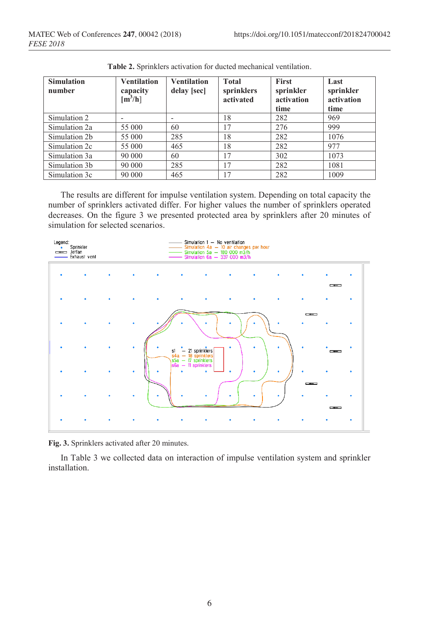| <b>Simulation</b><br>number | <b>Ventilation</b><br>capacity<br>[m <sup>3</sup> /h] | <b>Ventilation</b><br>delay [sec] | <b>Total</b><br>sprinklers<br>activated | <b>First</b><br>sprinkler<br>activation<br>time | Last<br>sprinkler<br>activation<br>time |
|-----------------------------|-------------------------------------------------------|-----------------------------------|-----------------------------------------|-------------------------------------------------|-----------------------------------------|
| Simulation 2                |                                                       |                                   | 18                                      | 282                                             | 969                                     |
| Simulation 2a               | 55 000                                                | 60                                | 17                                      | 276                                             | 999                                     |
| Simulation 2b               | 55 000                                                | 285                               | 18                                      | 282                                             | 1076                                    |
| Simulation 2c               | 55 000                                                | 465                               | 18                                      | 282                                             | 977                                     |
| Simulation 3a               | 90 000                                                | 60                                | 17                                      | 302                                             | 1073                                    |
| Simulation 3b               | 90 000                                                | 285                               | 17                                      | 282                                             | 1081                                    |
| Simulation 3c               | 90 000                                                | 465                               | 17                                      | 282                                             | 1009                                    |

**Table 2.** Sprinklers activation for ducted mechanical ventilation.

The results are different for impulse ventilation system. Depending on total capacity the number of sprinklers activated differ. For higher values the number of sprinklers operated decreases. On the figure 3 we presented protected area by sprinklers after 20 minutes of simulation for selected scenarios.



**Fig. 3.** Sprinklers activated after 20 minutes.

In Table 3 we collected data on interaction of impulse ventilation system and sprinkler installation.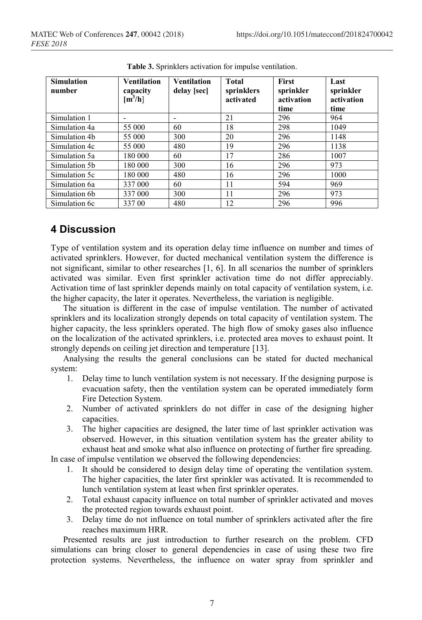| <b>Simulation</b><br>number | <b>Ventilation</b><br>capacity<br>$\left[\mathrm{m}^3/\mathrm{h}\right]$ | <b>Ventilation</b><br>delay [sec] | Total<br>sprinklers<br>activated | First<br>sprinkler<br>activation<br>time | Last<br>sprinkler<br>activation<br>time |
|-----------------------------|--------------------------------------------------------------------------|-----------------------------------|----------------------------------|------------------------------------------|-----------------------------------------|
| Simulation 1                |                                                                          |                                   | 21                               | 296                                      | 964                                     |
| Simulation 4a               | 55 000                                                                   | 60                                | 18                               | 298                                      | 1049                                    |
| Simulation 4b               | 55 000                                                                   | 300                               | 20                               | 296                                      | 1148                                    |
| Simulation 4c               | 55 000                                                                   | 480                               | 19                               | 296                                      | 1138                                    |
| Simulation 5a               | 180 000                                                                  | 60                                | 17                               | 286                                      | 1007                                    |
| Simulation 5b               | 180 000                                                                  | 300                               | 16                               | 296                                      | 973                                     |
| Simulation 5c               | 180 000                                                                  | 480                               | 16                               | 296                                      | 1000                                    |
| Simulation 6a               | 337 000                                                                  | 60                                | 11                               | 594                                      | 969                                     |
| Simulation 6b               | 337 000                                                                  | 300                               | 11                               | 296                                      | 973                                     |
| Simulation 6c               | 337 00                                                                   | 480                               | 12                               | 296                                      | 996                                     |

**Table 3.** Sprinklers activation for impulse ventilation.

### **4 Discussion**

Type of ventilation system and its operation delay time influence on number and times of activated sprinklers. However, for ducted mechanical ventilation system the difference is not significant, similar to other researches [1, 6]. In all scenarios the number of sprinklers activated was similar. Even first sprinkler activation time do not differ appreciably. Activation time of last sprinkler depends mainly on total capacity of ventilation system, i.e. the higher capacity, the later it operates. Nevertheless, the variation is negligible.

The situation is different in the case of impulse ventilation. The number of activated sprinklers and its localization strongly depends on total capacity of ventilation system. The higher capacity, the less sprinklers operated. The high flow of smoky gases also influence on the localization of the activated sprinklers, i.e. protected area moves to exhaust point. It strongly depends on ceiling jet direction and temperature [13].

Analysing the results the general conclusions can be stated for ducted mechanical system:

- 1. Delay time to lunch ventilation system is not necessary. If the designing purpose is evacuation safety, then the ventilation system can be operated immediately form Fire Detection System.
- 2. Number of activated sprinklers do not differ in case of the designing higher capacities.
- 3. The higher capacities are designed, the later time of last sprinkler activation was observed. However, in this situation ventilation system has the greater ability to exhaust heat and smoke what also influence on protecting of further fire spreading.

In case of impulse ventilation we observed the following dependencies:

- 1. It should be considered to design delay time of operating the ventilation system. The higher capacities, the later first sprinkler was activated. It is recommended to lunch ventilation system at least when first sprinkler operates.
- 2. Total exhaust capacity influence on total number of sprinkler activated and moves the protected region towards exhaust point.
- 3. Delay time do not influence on total number of sprinklers activated after the fire reaches maximum HRR.

Presented results are just introduction to further research on the problem. CFD simulations can bring closer to general dependencies in case of using these two fire protection systems. Nevertheless, the influence on water spray from sprinkler and